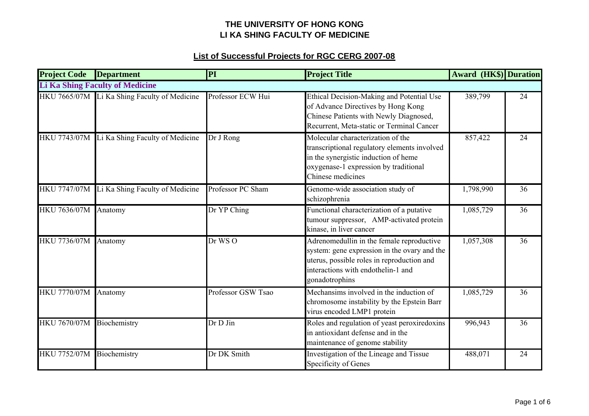| <b>Project Code</b>                    | <b>Department</b>                            | PI                 | <b>Project Title</b>                                                                                                                                                                            | <b>Award (HK\$)</b> Duration |                 |  |  |
|----------------------------------------|----------------------------------------------|--------------------|-------------------------------------------------------------------------------------------------------------------------------------------------------------------------------------------------|------------------------------|-----------------|--|--|
| <b>Li Ka Shing Faculty of Medicine</b> |                                              |                    |                                                                                                                                                                                                 |                              |                 |  |  |
|                                        | HKU 7665/07M Li Ka Shing Faculty of Medicine | Professor ECW Hui  | Ethical Decision-Making and Potential Use<br>of Advance Directives by Hong Kong<br>Chinese Patients with Newly Diagnosed,<br>Recurrent, Meta-static or Terminal Cancer                          | 389,799                      | $\overline{24}$ |  |  |
| <b>HKU 7743/07M</b>                    | Li Ka Shing Faculty of Medicine              | Dr J Rong          | Molecular characterization of the<br>transcriptional regulatory elements involved<br>in the synergistic induction of heme<br>oxygenase-1 expression by traditional<br>Chinese medicines         | 857,422                      | 24              |  |  |
| <b>HKU 7747/07M</b>                    | Li Ka Shing Faculty of Medicine              | Professor PC Sham  | Genome-wide association study of<br>schizophrenia                                                                                                                                               | 1,798,990                    | 36              |  |  |
| <b>HKU 7636/07M</b>                    | Anatomy                                      | Dr YP Ching        | Functional characterization of a putative<br>tumour suppressor, AMP-activated protein<br>kinase, in liver cancer                                                                                | 1,085,729                    | $\overline{36}$ |  |  |
| <b>HKU 7736/07M</b>                    | Anatomy                                      | Dr WS O            | Adrenomedullin in the female reproductive<br>system: gene expression in the ovary and the<br>uterus, possible roles in reproduction and<br>interactions with endothelin-1 and<br>gonadotrophins | 1,057,308                    | 36              |  |  |
| <b>HKU 7770/07M</b>                    | Anatomy                                      | Professor GSW Tsao | Mechansims involved in the induction of<br>chromosome instability by the Epstein Barr<br>virus encoded LMP1 protein                                                                             | 1,085,729                    | $\overline{36}$ |  |  |
| <b>HKU 7670/07M</b>                    | Biochemistry                                 | Dr D Jin           | Roles and regulation of yeast peroxiredoxins<br>in antioxidant defense and in the<br>maintenance of genome stability                                                                            | 996,943                      | 36              |  |  |
| HKU 7752/07M                           | Biochemistry                                 | Dr DK Smith        | Investigation of the Lineage and Tissue<br>Specificity of Genes                                                                                                                                 | 488,071                      | $\overline{24}$ |  |  |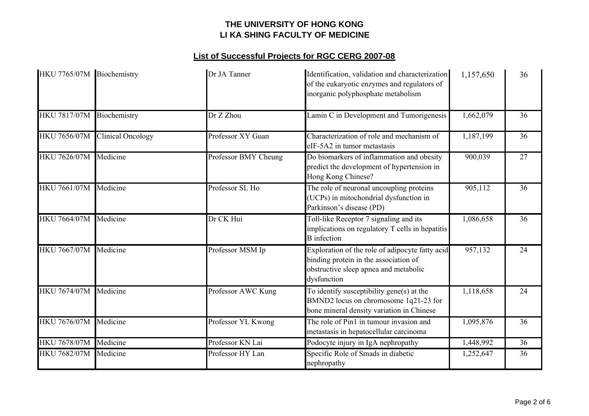| HKU 7765/07M Biochemistry |                          | Dr JA Tanner         | Identification, validation and characterization<br>of the eukaryotic enzymes and regulators of<br>inorganic polyphosphate metabolism             | 1,157,650 | 36              |
|---------------------------|--------------------------|----------------------|--------------------------------------------------------------------------------------------------------------------------------------------------|-----------|-----------------|
| <b>HKU 7817/07M</b>       | Biochemistry             | Dr Z Zhou            | Lamin C in Development and Tumorigenesis                                                                                                         | 1,662,079 | 36              |
| <b>HKU 7656/07M</b>       | <b>Clinical Oncology</b> | Professor XY Guan    | Characterization of role and mechanism of<br>eIF-5A2 in tumor metastasis                                                                         | 1,187,199 | $\overline{36}$ |
| HKU 7626/07M              | Medicine                 | Professor BMY Cheung | Do biomarkers of inflammation and obesity<br>predict the development of hypertension in<br>Hong Kong Chinese?                                    | 900,039   | 27              |
| <b>HKU 7661/07M</b>       | Medicine                 | Professor SL Ho      | The role of neuronal uncoupling proteins<br>(UCPs) in mitochondrial dysfunction in<br>Parkinson's disease (PD)                                   | 905,112   | 36              |
| HKU 7664/07M              | Medicine                 | Dr CK Hui            | Toll-like Receptor 7 signaling and its<br>implications on regulatory T cells in hepatitis<br><b>B</b> infection                                  | 1,086,658 | 36              |
| <b>HKU 7667/07M</b>       | Medicine                 | Professor MSM Ip     | Exploration of the role of adipocyte fatty acid<br>binding protein in the association of<br>obstructive sleep apnea and metabolic<br>dysfunction | 957,132   | 24              |
| HKU 7674/07M              | Medicine                 | Professor AWC Kung   | To identify susceptibility gene(s) at the<br>BMND2 locus on chromosome 1q21-23 for<br>bone mineral density variation in Chinese                  | 1,118,658 | 24              |
| <b>HKU 7676/07M</b>       | Medicine                 | Professor YL Kwong   | The role of Pin1 in tumour invasion and<br>metastasis in hepatocellular carcinoma                                                                | 1,095,876 | 36              |
| <b>HKU 7678/07M</b>       | Medicine                 | Professor KN Lai     | Podocyte injury in IgA nephropathy                                                                                                               | 1,448,992 | 36              |
| HKU 7682/07M              | Medicine                 | Professor HY Lan     | Specific Role of Smads in diabetic<br>nephropathy                                                                                                | 1,252,647 | 36              |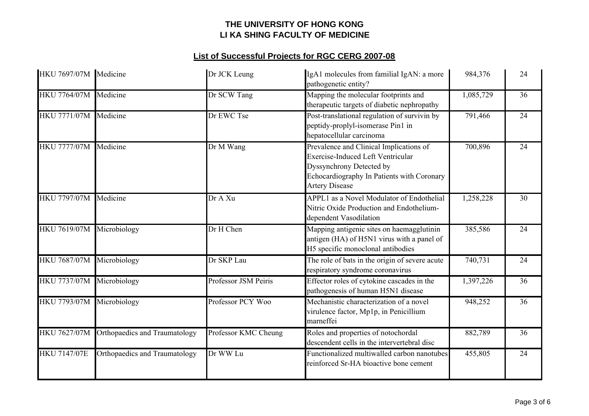| HKU 7697/07M Medicine |                               | Dr JCK Leung         | IgA1 molecules from familial IgAN: a more<br>pathogenetic entity?                                                                                                                      | 984,376   | 24              |
|-----------------------|-------------------------------|----------------------|----------------------------------------------------------------------------------------------------------------------------------------------------------------------------------------|-----------|-----------------|
| <b>HKU 7764/07M</b>   | Medicine                      | Dr SCW Tang          | Mapping the molecular footprints and<br>therapeutic targets of diabetic nephropathy                                                                                                    | 1,085,729 | 36              |
| <b>HKU 7771/07M</b>   | Medicine                      | Dr EWC Tse           | Post-translational regulation of survivin by<br>peptidy-proplyl-isomerase Pin1 in<br>hepatocellular carcinoma                                                                          | 791,466   | $\overline{24}$ |
| <b>HKU 7777/07M</b>   | Medicine                      | Dr M Wang            | Prevalence and Clinical Implications of<br><b>Exercise-Induced Left Ventricular</b><br>Dyssynchrony Detected by<br>Echocardiography In Patients with Coronary<br><b>Artery Disease</b> | 700,896   | 24              |
| <b>HKU 7797/07M</b>   | Medicine                      | Dr A Xu              | APPL1 as a Novel Modulator of Endothelial<br>Nitric Oxide Production and Endothelium-<br>dependent Vasodilation                                                                        | 1,258,228 | 30              |
| <b>HKU 7619/07M</b>   | Microbiology                  | Dr H Chen            | Mapping antigenic sites on haemagglutinin<br>antigen (HA) of H5N1 virus with a panel of<br>H5 specific monoclonal antibodies                                                           | 385,586   | $\overline{24}$ |
| <b>HKU 7687/07M</b>   | Microbiology                  | Dr SKP Lau           | The role of bats in the origin of severe acute<br>respiratory syndrome coronavirus                                                                                                     | 740,731   | 24              |
| <b>HKU 7737/07M</b>   | Microbiology                  | Professor JSM Peiris | Effector roles of cytokine cascades in the<br>pathogenesis of human H5N1 disease                                                                                                       | 1,397,226 | 36              |
| <b>HKU 7793/07M</b>   | Microbiology                  | Professor PCY Woo    | Mechanistic characterization of a novel<br>virulence factor, Mp1p, in Penicillium<br>marneffei                                                                                         | 948,252   | 36              |
| <b>HKU 7627/07M</b>   | Orthopaedics and Traumatology | Professor KMC Cheung | Roles and properties of notochordal<br>descendent cells in the intervertebral disc                                                                                                     | 882,789   | 36              |
| <b>HKU 7147/07E</b>   | Orthopaedics and Traumatology | Dr WW Lu             | Functionalized multiwalled carbon nanotubes<br>reinforced Sr-HA bioactive bone cement                                                                                                  | 455,805   | $\overline{24}$ |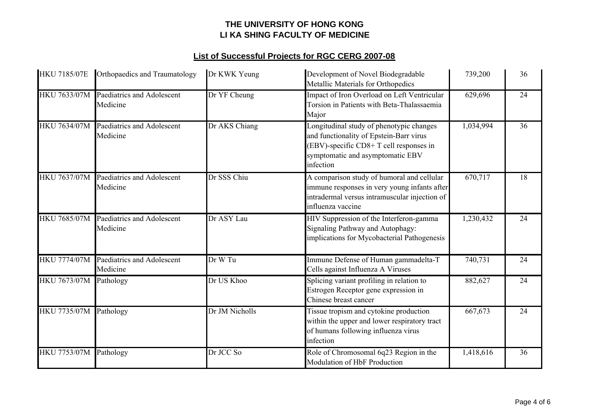| <b>HKU 7185/07E</b> | Orthopaedics and Traumatology          | Dr KWK Yeung   | Development of Novel Biodegradable<br>Metallic Materials for Orthopedics                                                                                                       | 739,200   | 36 |
|---------------------|----------------------------------------|----------------|--------------------------------------------------------------------------------------------------------------------------------------------------------------------------------|-----------|----|
| <b>HKU 7633/07M</b> | Paediatrics and Adolescent<br>Medicine | Dr YF Cheung   | Impact of Iron Overload on Left Ventricular<br>Torsion in Patients with Beta-Thalassaemia<br>Major                                                                             | 629,696   | 24 |
| <b>HKU 7634/07M</b> | Paediatrics and Adolescent<br>Medicine | Dr AKS Chiang  | Longitudinal study of phenotypic changes<br>and functionality of Epstein-Barr virus<br>(EBV)-specific CD8+T cell responses in<br>symptomatic and asymptomatic EBV<br>infection | 1,034,994 | 36 |
| <b>HKU 7637/07M</b> | Paediatrics and Adolescent<br>Medicine | Dr SSS Chiu    | A comparison study of humoral and cellular<br>immune responses in very young infants after<br>intradermal versus intramuscular injection of<br>influenza vaccine               | 670,717   | 18 |
| <b>HKU 7685/07M</b> | Paediatrics and Adolescent<br>Medicine | Dr ASY Lau     | HIV Suppression of the Interferon-gamma<br>Signaling Pathway and Autophagy:<br>implications for Mycobacterial Pathogenesis                                                     | 1,230,432 | 24 |
| <b>HKU 7774/07M</b> | Paediatrics and Adolescent<br>Medicine | Dr W Tu        | Immune Defense of Human gammadelta-T<br>Cells against Influenza A Viruses                                                                                                      | 740,731   | 24 |
| <b>HKU 7673/07M</b> | Pathology                              | Dr US Khoo     | Splicing variant profiling in relation to<br>Estrogen Receptor gene expression in<br>Chinese breast cancer                                                                     | 882,627   | 24 |
| HKU 7735/07M        | Pathology                              | Dr JM Nicholls | Tissue tropism and cytokine production<br>within the upper and lower respiratory tract<br>of humans following influenza virus<br>infection                                     | 667,673   | 24 |
| <b>HKU 7753/07M</b> | Pathology                              | Dr JCC So      | Role of Chromosomal 6q23 Region in the<br>Modulation of HbF Production                                                                                                         | 1,418,616 | 36 |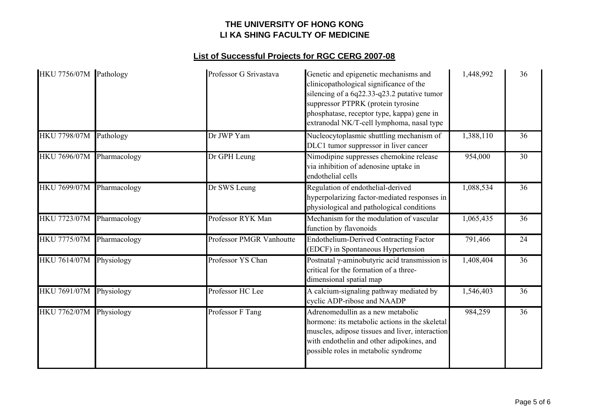| HKU 7756/07M Pathology |              | Professor G Srivastava   | Genetic and epigenetic mechanisms and<br>clinicopathological significance of the<br>silencing of a 6q22.33-q23.2 putative tumor<br>suppressor PTPRK (protein tyrosine<br>phosphatase, receptor type, kappa) gene in<br>extranodal NK/T-cell lymphoma, nasal type | 1,448,992 | 36              |
|------------------------|--------------|--------------------------|------------------------------------------------------------------------------------------------------------------------------------------------------------------------------------------------------------------------------------------------------------------|-----------|-----------------|
| HKU 7798/07M           | Pathology    | Dr JWP Yam               | Nucleocytoplasmic shuttling mechanism of<br>DLC1 tumor suppressor in liver cancer                                                                                                                                                                                | 1,388,110 | 36              |
| <b>HKU 7696/07M</b>    | Pharmacology | Dr GPH Leung             | Nimodipine suppresses chemokine release<br>via inhibition of adenosine uptake in<br>endothelial cells                                                                                                                                                            | 954,000   | 30              |
| <b>HKU 7699/07M</b>    | Pharmacology | Dr SWS Leung             | Regulation of endothelial-derived<br>hyperpolarizing factor-mediated responses in<br>physiological and pathological conditions                                                                                                                                   | 1,088,534 | 36              |
| <b>HKU 7723/07M</b>    | Pharmacology | Professor RYK Man        | Mechanism for the modulation of vascular<br>function by flavonoids                                                                                                                                                                                               | 1,065,435 | $\overline{36}$ |
| <b>HKU 7775/07M</b>    | Pharmacology | Professor PMGR Vanhoutte | <b>Endothelium-Derived Contracting Factor</b><br>(EDCF) in Spontaneous Hypertension                                                                                                                                                                              | 791,466   | 24              |
| HKU 7614/07M           | Physiology   | Professor YS Chan        | Postnatal $\gamma$ -aminobutyric acid transmission is<br>critical for the formation of a three-<br>dimensional spatial map                                                                                                                                       | 1,408,404 | 36              |
| <b>HKU 7691/07M</b>    | Physiology   | Professor HC Lee         | A calcium-signaling pathway mediated by<br>cyclic ADP-ribose and NAADP                                                                                                                                                                                           | 1,546,403 | 36              |
| <b>HKU 7762/07M</b>    | Physiology   | Professor F Tang         | Adrenomedullin as a new metabolic<br>hormone: its metabolic actions in the skeletal<br>muscles, adipose tissues and liver, interaction<br>with endothelin and other adipokines, and<br>possible roles in metabolic syndrome                                      | 984,259   | 36              |